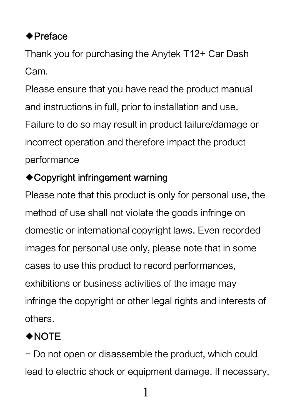## ◆Preface

Thank you for purchasing the Anytek T12+ Car Dash Cam.

Please ensure that you have read the product manual and instructions in full, prior to installation and use. Failure to do so may result in product failure/damage or incorrect operation and therefore impact the product performance

#### ◆Copyright infringement warning

Please note that this product is only for personal use, the method of use shall not violate the goods infringe on domestic or international copyright laws. Even recorded images for personal use only, please note that in some cases to use this product to record performances, exhibitions or business activities of the image may infringe the copyright or other legal rights and interests of others.

# ◆NOTE

- Do not open or disassemble the product, which could lead to electric shock or equipment damage. If necessary,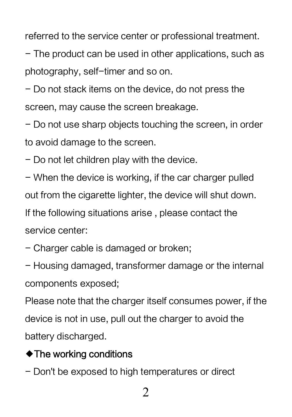referred to the service center or professional treatment.

- The product can be used in other applications, such as photography, self-timer and so on.

- Do not stack items on the device, do not press the screen, may cause the screen breakage.

- Do not use sharp objects touching the screen, in order to avoid damage to the screen.

- Do not let children play with the device.

- When the device is working, if the car charger pulled out from the cigarette lighter, the device will shut down. If the following situations arise , please contact the service center:

- Charger cable is damaged or broken;

- Housing damaged, transformer damage or the internal components exposed;

Please note that the charger itself consumes power, if the device is not in use, pull out the charger to avoid the battery discharged.

#### ◆The working conditions

- Don't be exposed to high temperatures or direct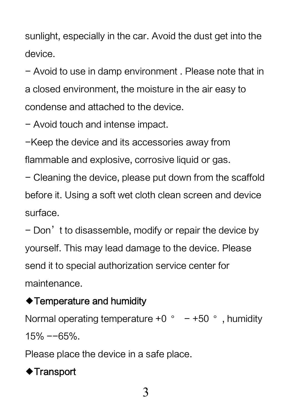sunlight, especially in the car. Avoid the dust get into the device.

- Avoid to use in damp environment . Please note that in a closed environment, the moisture in the air easy to condense and attached to the device.

- Avoid touch and intense impact.

-Keep the device and its accessories away from

flammable and explosive, corrosive liquid or gas.

- Cleaning the device, please put down from the scaffold before it. Using a soft wet cloth clean screen and device surface.

- Don't to disassemble, modify or repair the device by yourself. This may lead damage to the device. Please send it to special authorization service center for maintenance.

#### ◆Temperature and humidity

Normal operating temperature  $+0$  °  $-+50$  °, humidity 15% --65%.

Please place the device in a safe place.

# ◆Transport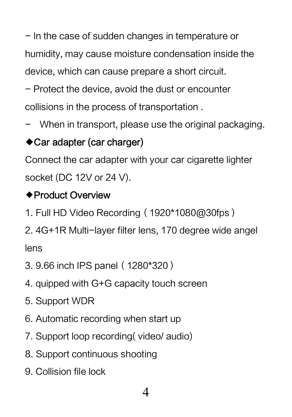- In the case of sudden changes in temperature or humidity, may cause moisture condensation inside the device, which can cause prepare a short circuit.

- Protect the device, avoid the dust or encounter

collisions in the process of transportation .

When in transport, please use the original packaging.

## ◆Car adapter (car charger)

Connect the car adapter with your car cigarette lighter socket (DC 12V or 24 V).

#### ◆Product Overview

- 1. Full HD Video Recording(1920\*1080@30fps)
- 2. 4G+1R Multi-layer filter lens, 170 degree wide angel lens
- 3. 9.66 inch IPS panel(1280\*320)
- 4. quipped with G+G capacity touch screen
- 5. Support WDR
- 6. Automatic recording when start up
- 7. Support loop recording( video/ audio)
- 8. Support continuous shooting
- 9. Collision file lock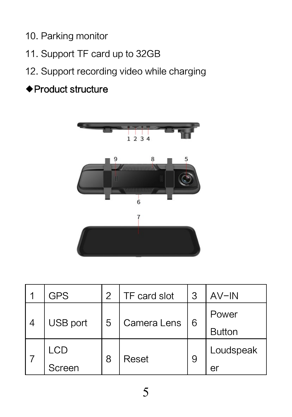10. Parking monitor

- 11. Support TF card up to 32GB
- 12. Support recording video while charging

# ◆Product structure



|                | GPS      | 2 | TF card slot | 3  | AV-IN         |
|----------------|----------|---|--------------|----|---------------|
| $\overline{4}$ | USB port | 5 | Camera Lens  | 16 | Power         |
|                |          |   |              |    | <b>Button</b> |
|                | LCD      | 8 | Reset        | 9  | Loudspeak     |
|                | Screen   |   |              |    | eı            |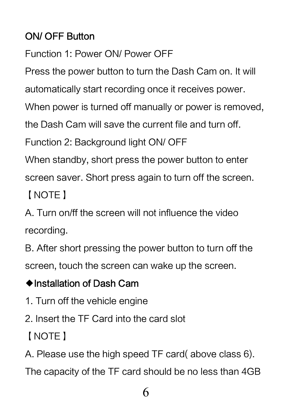## ON/ OFF Button

Function 1: Power ON/ Power OFF

Press the power button to turn the Dash Cam on. It will

automatically start recording once it receives power.

When power is turned off manually or power is removed,

the Dash Cam will save the current file and turn off.

Function 2: Background light ON/ OFF

When standby, short press the power button to enter

screen saver. Short press again to turn off the screen.

【NOTE】

A. Turn on/ff the screen will not influence the video recording.

B. After short pressing the power button to turn off the screen, touch the screen can wake up the screen.

#### ◆Installation of Dash Cam

- 1. Turn off the vehicle engine
- 2. Insert the TF Card into the card slot

【NOTE】

A. Please use the high speed TF card( above class 6).

The capacity of the TF card should be no less than 4GB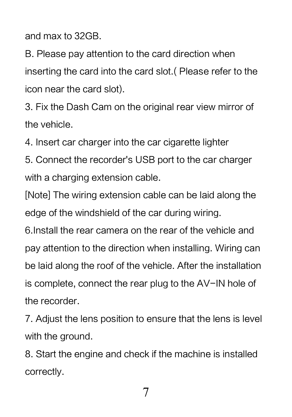and max to 32GB.

B. Please pay attention to the card direction when inserting the card into the card slot.( Please refer to the icon near the card slot).

3. Fix the Dash Cam on the original rear view mirror of the vehicle.

4. Insert car charger into the car cigarette lighter

5. Connect the recorder's USB port to the car charger with a charging extension cable.

[Note] The wiring extension cable can be laid along the edge of the windshield of the car during wiring.

6.Install the rear camera on the rear of the vehicle and pay attention to the direction when installing. Wiring can be laid along the roof of the vehicle. After the installation is complete, connect the rear plug to the AV-IN hole of the recorder.

7. Adjust the lens position to ensure that the lens is level with the ground.

8. Start the engine and check if the machine is installed correctly.

7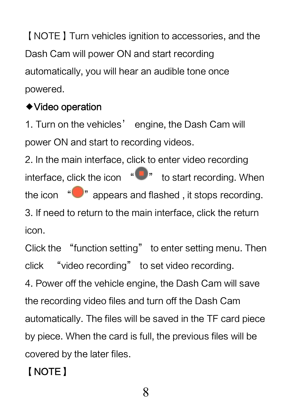【NOTE】Turn vehicles ignition to accessories, and the Dash Cam will power ON and start recording automatically, you will hear an audible tone once powered.

#### ◆Video operation

1. Turn on the vehicles' engine, the Dash Cam will power ON and start to recording videos.

2. In the main interface, click to enter video recording interface, click the icon  $\sqrt[q]{\ }$  to start recording. When the icon  $\sqrt[q]{\ }$  appears and flashed, it stops recording. 3. If need to return to the main interface, click the return icon.

Click the "function setting" to enter setting menu. Then click "video recording" to set video recording.

4. Power off the vehicle engine, the Dash Cam will save the recording video files and turn off the Dash Cam automatically. The files will be saved in the TF card piece by piece. When the card is full, the previous files will be covered by the later files.

# 【NOTE】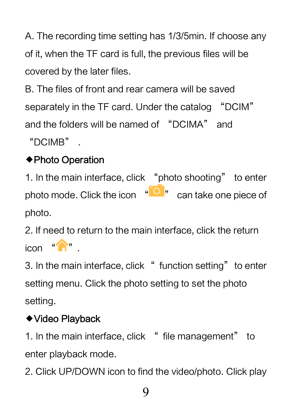A. The recording time setting has 1/3/5min. If choose any of it, when the TF card is full, the previous files will be covered by the later files.

B. The files of front and rear camera will be saved separately in the TF card. Under the catalog "DCIM" and the folders will be named of "DCIMA" and "DCIMB" .

## ◆Photo Operation

1. In the main interface, click "photo shooting" to enter photo mode. Click the icon  $\sqrt[4]{\bigcirc}$  can take one piece of photo.

2. If need to return to the main interface, click the return  $i$ con  $\sqrt[n]{\sqrt[n]{n}}$ 

3. In the main interface, click " function setting" to enter setting menu. Click the photo setting to set the photo setting.

# ◆Video Playback

1. In the main interface, click " file management" to enter playback mode.

2. Click UP/DOWN icon to find the video/photo. Click play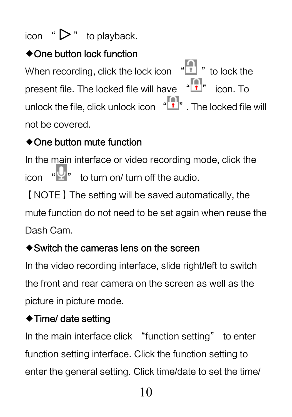# icon " $\triangleright$ " to playback.

## ◆One button lock function

When recording, click the lock icon  $\sqrt[4]{\binom{1}{1}}$  " to lock the present file. The locked file will have "["]" icon. To unlock the file, click unlock icon  $\overline{\mathbf{F}}$ . The locked file will not be covered.

## ◆One button mute function

In the main interface or video recording mode, click the icon  $\sqrt[4]{x}$  to turn on/ turn off the audio.

【NOTE】The setting will be saved automatically, the mute function do not need to be set again when reuse the Dash Cam.

#### ◆Switch the cameras lens on the screen

In the video recording interface, slide right/left to switch the front and rear camera on the screen as well as the picture in picture mode.

#### ◆Time/ date setting

In the main interface click "function setting" to enter function setting interface. Click the function setting to enter the general setting. Click time/date to set the time/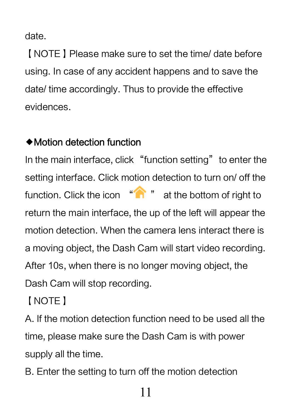date.

【NOTE】Please make sure to set the time/ date before using. In case of any accident happens and to save the date/ time accordingly. Thus to provide the effective evidences.

#### ◆Motion detection function

In the main interface, click "function setting" to enter the setting interface. Click motion detection to turn on/ off the function. Click the icon " " at the bottom of right to return the main interface, the up of the left will appear the motion detection. When the camera lens interact there is a moving object, the Dash Cam will start video recording. After 10s, when there is no longer moving object, the Dash Cam will stop recording.

【NOTE】

A. If the motion detection function need to be used all the time, please make sure the Dash Cam is with power supply all the time.

B. Enter the setting to turn off the motion detection

11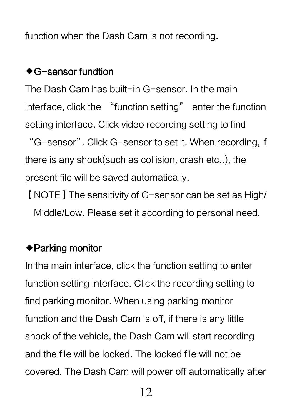function when the Dash Cam is not recording.

#### ◆G-sensor fundtion

The Dash Cam has built-in G-sensor. In the main interface, click the "function setting" enter the function setting interface. Click video recording setting to find "G-sensor". Click G-sensor to set it. When recording, if there is any shock(such as collision, crash etc..), the present file will be saved automatically.

【NOTE】The sensitivity of G-sensor can be set as High/ Middle/Low. Please set it according to personal need.

#### ◆Parking monitor

In the main interface, click the function setting to enter function setting interface. Click the recording setting to find parking monitor. When using parking monitor function and the Dash Cam is off, if there is any little shock of the vehicle, the Dash Cam will start recording and the file will be locked. The locked file will not be covered. The Dash Cam will power off automatically after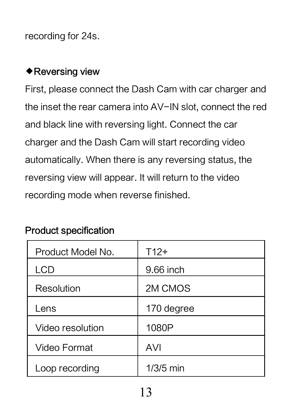recording for 24s.

#### ◆Reversing view

First, please connect the Dash Cam with car charger and the inset the rear camera into AV-IN slot, connect the red and black line with reversing light. Connect the car charger and the Dash Cam will start recording video automatically. When there is any reversing status, the reversing view will appear. It will return to the video recording mode when reverse finished.

| Product Model No. | $T12+$      |
|-------------------|-------------|
| <b>LCD</b>        | 9.66 inch   |
| Resolution        | 2M CMOS     |
| Lens              | 170 degree  |
| Video resolution  | 1080P       |
| Video Format      | AVI         |
| Loop recording    | $1/3/5$ min |

#### Product specification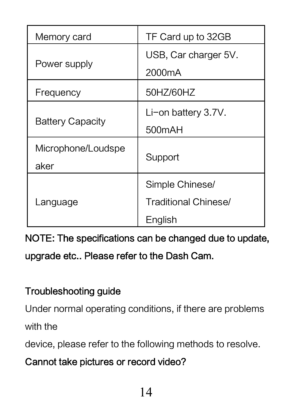| Memory card                | TF Card up to 32GB                                 |  |  |
|----------------------------|----------------------------------------------------|--|--|
| Power supply               | USB, Car charger 5V.<br>2000mA                     |  |  |
| Frequency                  | 50HZ/60HZ                                          |  |  |
| <b>Battery Capacity</b>    | Li-on battery 3.7V.<br>500mAH                      |  |  |
| Microphone/Loudspe<br>aker | Support                                            |  |  |
| Language                   | Simple Chinese/<br>Traditional Chinese/<br>English |  |  |

NOTE: The specifications can be changed due to update, upgrade etc.. Please refer to the Dash Cam.

#### Troubleshooting guide

Under normal operating conditions, if there are problems

with the

device, please refer to the following methods to resolve.

### Cannot take pictures or record video?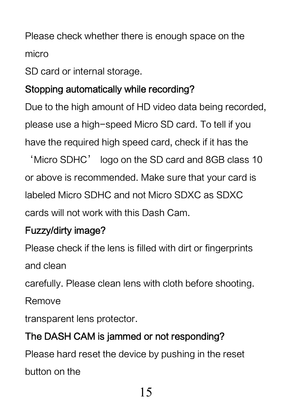Please check whether there is enough space on the micro

SD card or internal storage.

#### Stopping automatically while recording?

Due to the high amount of HD video data being recorded, please use a high-speed Micro SD card. To tell if you have the required high speed card, check if it has the

'Micro SDHC' logo on the SD card and 8GB class 10 or above is recommended. Make sure that your card is labeled Micro SDHC and not Micro SDXC as SDXC cards will not work with this Dash Cam.

#### Fuzzy/dirty image?

Please check if the lens is filled with dirt or fingerprints and clean

carefully. Please clean lens with cloth before shooting.

Remove

transparent lens protector.

## The DASH CAM is jammed or not responding?

Please hard reset the device by pushing in the reset

button on the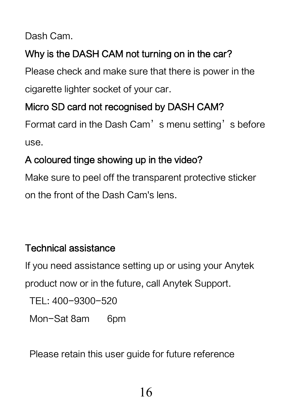Dash Cam.

## Why is the DASH CAM not turning on in the car?

Please check and make sure that there is power in the cigarette lighter socket of your car.

#### Micro SD card not recognised by DASH CAM?

Format card in the Dash Cam's menu setting's before use.

## A coloured tinge showing up in the video?

Make sure to peel off the transparent protective sticker on the front of the Dash Cam's lens.

#### Technical assistance

If you need assistance setting up or using your Anytek product now or in the future, call Anytek Support.

TEL: 400-9300-520 Mon-Sat 8am 6pm

Please retain this user guide for future reference